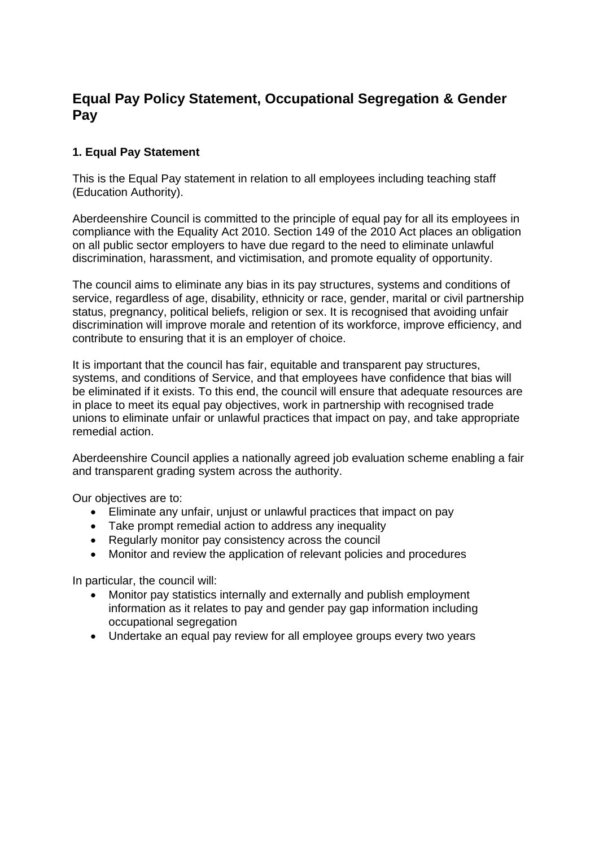# **Equal Pay Policy Statement, Occupational Segregation & Gender Pay**

## **1. Equal Pay Statement**

This is the Equal Pay statement in relation to all employees including teaching staff (Education Authority).

Aberdeenshire Council is committed to the principle of equal pay for all its employees in compliance with the Equality Act 2010. Section 149 of the 2010 Act places an obligation on all public sector employers to have due regard to the need to eliminate unlawful discrimination, harassment, and victimisation, and promote equality of opportunity.

The council aims to eliminate any bias in its pay structures, systems and conditions of service, regardless of age, disability, ethnicity or race, gender, marital or civil partnership status, pregnancy, political beliefs, religion or sex. It is recognised that avoiding unfair discrimination will improve morale and retention of its workforce, improve efficiency, and contribute to ensuring that it is an employer of choice.

It is important that the council has fair, equitable and transparent pay structures, systems, and conditions of Service, and that employees have confidence that bias will be eliminated if it exists. To this end, the council will ensure that adequate resources are in place to meet its equal pay objectives, work in partnership with recognised trade unions to eliminate unfair or unlawful practices that impact on pay, and take appropriate remedial action.

Aberdeenshire Council applies a nationally agreed job evaluation scheme enabling a fair and transparent grading system across the authority.

Our objectives are to:

- Eliminate any unfair, unjust or unlawful practices that impact on pay
- Take prompt remedial action to address any inequality
- Regularly monitor pay consistency across the council
- Monitor and review the application of relevant policies and procedures

In particular, the council will:

- Monitor pay statistics internally and externally and publish employment information as it relates to pay and gender pay gap information including occupational segregation
- Undertake an equal pay review for all employee groups every two years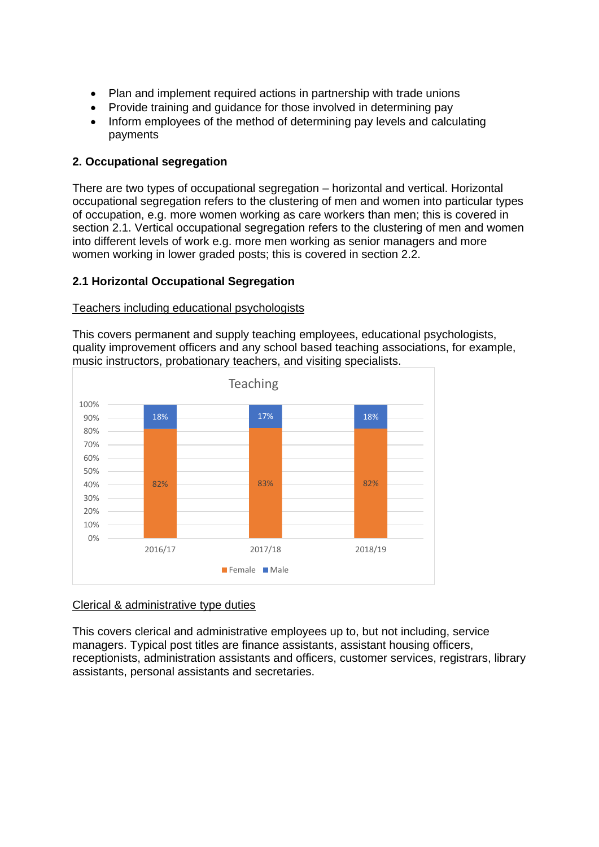- Plan and implement required actions in partnership with trade unions
- Provide training and quidance for those involved in determining pay
- Inform employees of the method of determining pay levels and calculating payments

#### **2. Occupational segregation**

There are two types of occupational segregation – horizontal and vertical. Horizontal occupational segregation refers to the clustering of men and women into particular types of occupation, e.g. more women working as care workers than men; this is covered in section 2.1. Vertical occupational segregation refers to the clustering of men and women into different levels of work e.g. more men working as senior managers and more women working in lower graded posts; this is covered in section 2.2.

#### **2.1 Horizontal Occupational Segregation**

#### Teachers including educational psychologists

This covers permanent and supply teaching employees, educational psychologists, quality improvement officers and any school based teaching associations, for example, music instructors, probationary teachers, and visiting specialists.



#### Clerical & administrative type duties

This covers clerical and administrative employees up to, but not including, service managers. Typical post titles are finance assistants, assistant housing officers, receptionists, administration assistants and officers, customer services, registrars, library assistants, personal assistants and secretaries.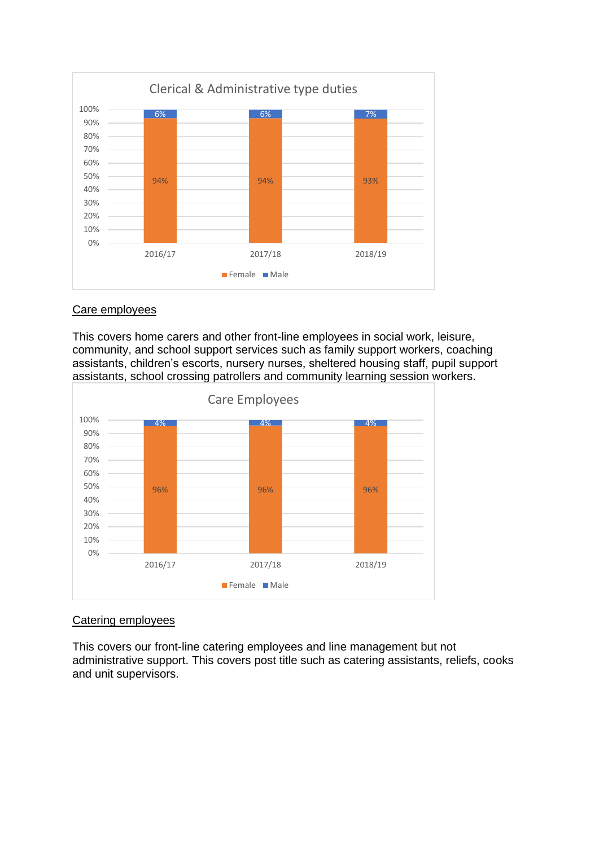

#### Care employees

This covers home carers and other front-line employees in social work, leisure, community, and school support services such as family support workers, coaching assistants, children's escorts, nursery nurses, sheltered housing staff, pupil support assistants, school crossing patrollers and community learning session workers.



### Catering employees

This covers our front-line catering employees and line management but not administrative support. This covers post title such as catering assistants, reliefs, cooks and unit supervisors.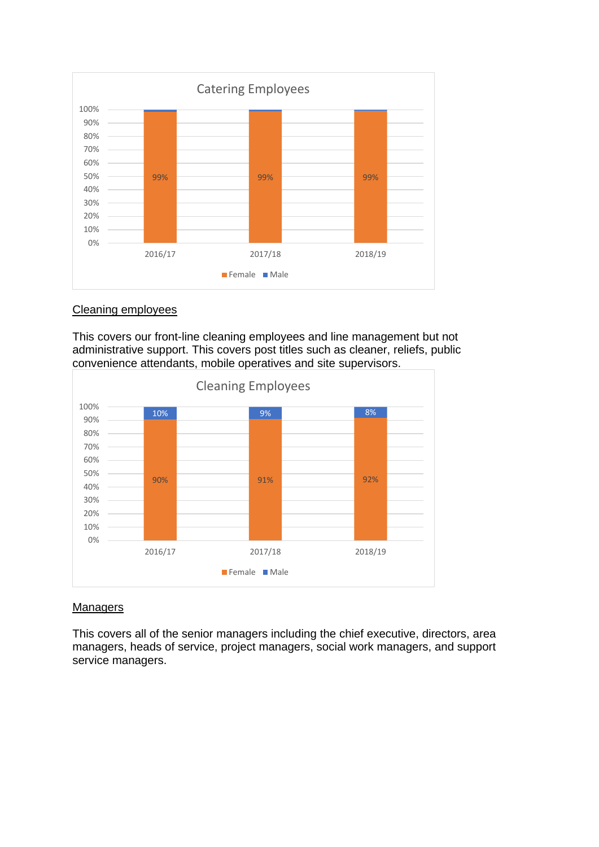

#### Cleaning employees

This covers our front-line cleaning employees and line management but not administrative support. This covers post titles such as cleaner, reliefs, public convenience attendants, mobile operatives and site supervisors.



#### **Managers**

This covers all of the senior managers including the chief executive, directors, area managers, heads of service, project managers, social work managers, and support service managers.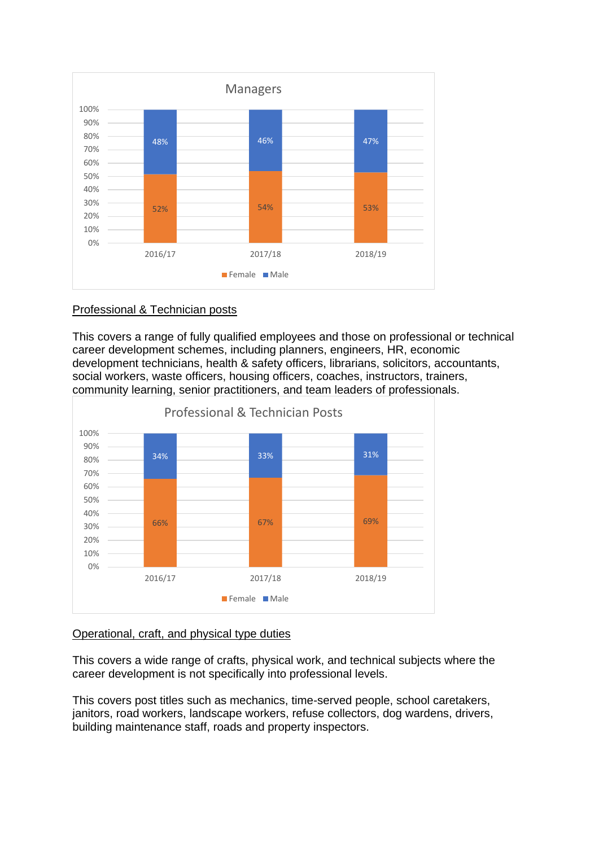

#### Professional & Technician posts

This covers a range of fully qualified employees and those on professional or technical career development schemes, including planners, engineers, HR, economic development technicians, health & safety officers, librarians, solicitors, accountants, social workers, waste officers, housing officers, coaches, instructors, trainers, community learning, senior practitioners, and team leaders of professionals.



### Operational, craft, and physical type duties

This covers a wide range of crafts, physical work, and technical subjects where the career development is not specifically into professional levels.

This covers post titles such as mechanics, time-served people, school caretakers, janitors, road workers, landscape workers, refuse collectors, dog wardens, drivers, building maintenance staff, roads and property inspectors.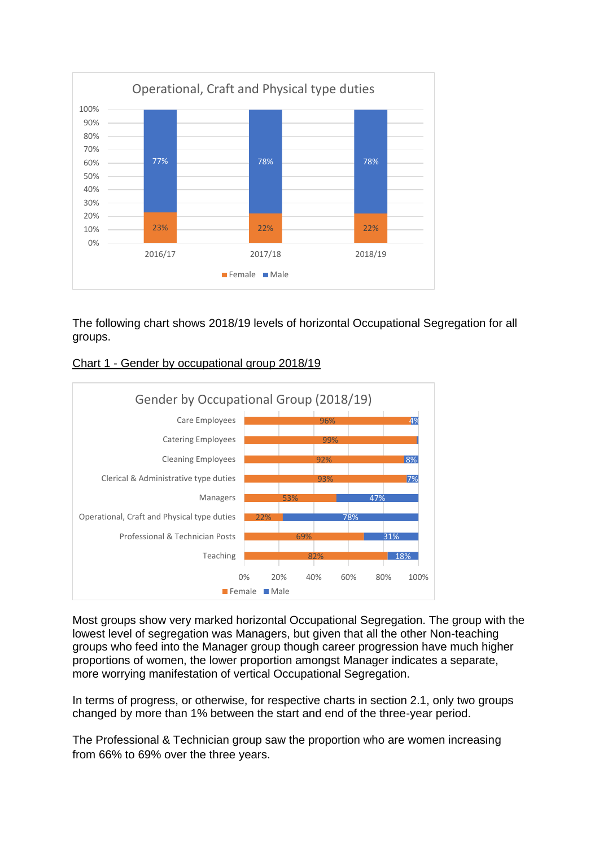

The following chart shows 2018/19 levels of horizontal Occupational Segregation for all groups.





Most groups show very marked horizontal Occupational Segregation. The group with the lowest level of segregation was Managers, but given that all the other Non-teaching groups who feed into the Manager group though career progression have much higher proportions of women, the lower proportion amongst Manager indicates a separate, more worrying manifestation of vertical Occupational Segregation.

In terms of progress, or otherwise, for respective charts in section 2.1, only two groups changed by more than 1% between the start and end of the three-year period.

The Professional & Technician group saw the proportion who are women increasing from 66% to 69% over the three years.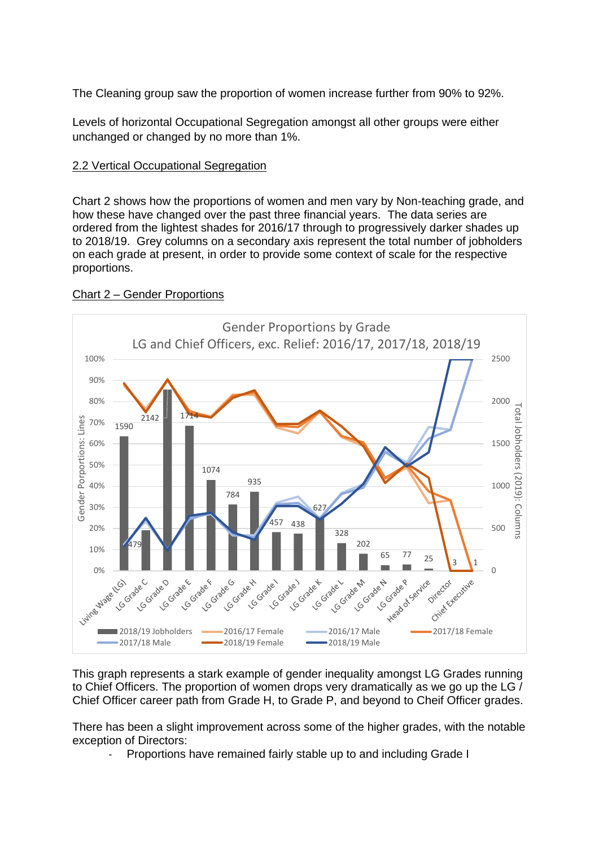The Cleaning group saw the proportion of women increase further from 90% to 92%.

Levels of horizontal Occupational Segregation amongst all other groups were either unchanged or changed by no more than 1%.

### 2.2 Vertical Occupational Segregation

Chart 2 shows how the proportions of women and men vary by Non-teaching grade, and how these have changed over the past three financial years. The data series are ordered from the lightest shades for 2016/17 through to progressively darker shades up to 2018/19. Grey columns on a secondary axis represent the total number of jobholders on each grade at present, in order to provide some context of scale for the respective proportions.



### Chart 2 – Gender Proportions

This graph represents a stark example of gender inequality amongst LG Grades running to Chief Officers. The proportion of women drops very dramatically as we go up the LG / Chief Officer career path from Grade H, to Grade P, and beyond to Cheif Officer grades.

There has been a slight improvement across some of the higher grades, with the notable exception of Directors:

Proportions have remained fairly stable up to and including Grade I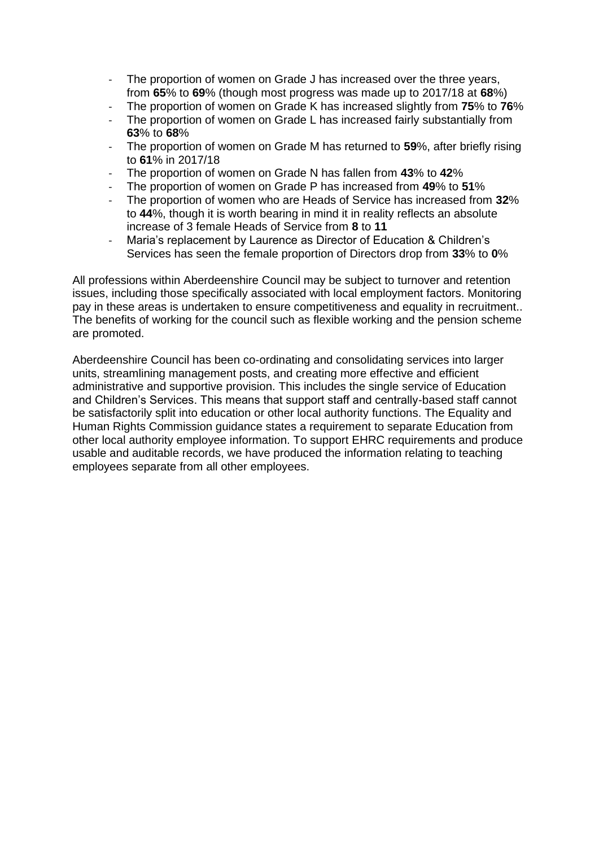- The proportion of women on Grade J has increased over the three years, from **65**% to **69**% (though most progress was made up to 2017/18 at **68**%)
- The proportion of women on Grade K has increased slightly from **75**% to **76**%
- The proportion of women on Grade L has increased fairly substantially from **63**% to **68**%
- The proportion of women on Grade M has returned to 59%, after briefly rising to **61**% in 2017/18
- The proportion of women on Grade N has fallen from **43**% to **42**%
- The proportion of women on Grade P has increased from **49**% to **51**%
- The proportion of women who are Heads of Service has increased from **32**% to **44**%, though it is worth bearing in mind it in reality reflects an absolute increase of 3 female Heads of Service from **8** to **11**
- Maria's replacement by Laurence as Director of Education & Children's Services has seen the female proportion of Directors drop from **33**% to **0**%

All professions within Aberdeenshire Council may be subject to turnover and retention issues, including those specifically associated with local employment factors. Monitoring pay in these areas is undertaken to ensure competitiveness and equality in recruitment.. The benefits of working for the council such as flexible working and the pension scheme are promoted.

Aberdeenshire Council has been co-ordinating and consolidating services into larger units, streamlining management posts, and creating more effective and efficient administrative and supportive provision. This includes the single service of Education and Children's Services. This means that support staff and centrally-based staff cannot be satisfactorily split into education or other local authority functions. The Equality and Human Rights Commission guidance states a requirement to separate Education from other local authority employee information. To support EHRC requirements and produce usable and auditable records, we have produced the information relating to teaching employees separate from all other employees.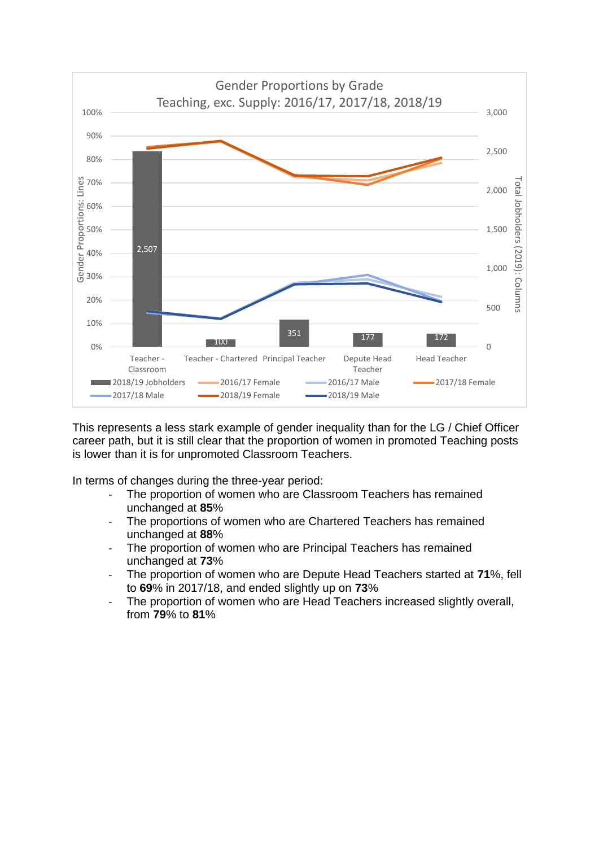

This represents a less stark example of gender inequality than for the LG / Chief Officer career path, but it is still clear that the proportion of women in promoted Teaching posts is lower than it is for unpromoted Classroom Teachers.

In terms of changes during the three-year period:

- The proportion of women who are Classroom Teachers has remained unchanged at **85**%
- The proportions of women who are Chartered Teachers has remained unchanged at **88**%
- The proportion of women who are Principal Teachers has remained unchanged at **73**%
- The proportion of women who are Depute Head Teachers started at **71**%, fell to **69**% in 2017/18, and ended slightly up on **73**%
- The proportion of women who are Head Teachers increased slightly overall, from **79**% to **81**%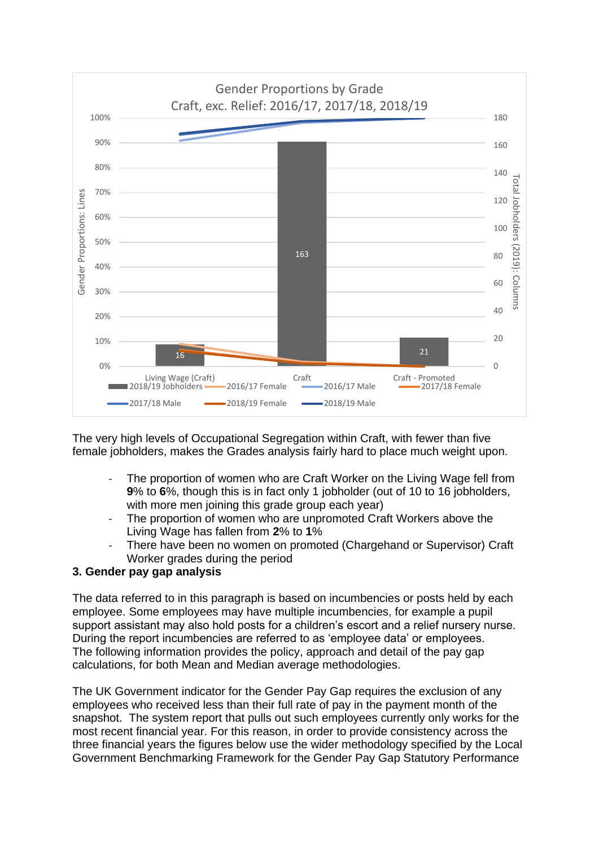

The very high levels of Occupational Segregation within Craft, with fewer than five female jobholders, makes the Grades analysis fairly hard to place much weight upon.

- The proportion of women who are Craft Worker on the Living Wage fell from **9**% to **6**%, though this is in fact only 1 jobholder (out of 10 to 16 jobholders, with more men joining this grade group each year)
- The proportion of women who are unpromoted Craft Workers above the Living Wage has fallen from **2**% to **1**%
- There have been no women on promoted (Chargehand or Supervisor) Craft Worker grades during the period

### **3. Gender pay gap analysis**

The data referred to in this paragraph is based on incumbencies or posts held by each employee. Some employees may have multiple incumbencies, for example a pupil support assistant may also hold posts for a children's escort and a relief nursery nurse. During the report incumbencies are referred to as 'employee data' or employees. The following information provides the policy, approach and detail of the pay gap calculations, for both Mean and Median average methodologies.

The UK Government indicator for the Gender Pay Gap requires the exclusion of any employees who received less than their full rate of pay in the payment month of the snapshot. The system report that pulls out such employees currently only works for the most recent financial year. For this reason, in order to provide consistency across the three financial years the figures below use the wider methodology specified by the Local Government Benchmarking Framework for the Gender Pay Gap Statutory Performance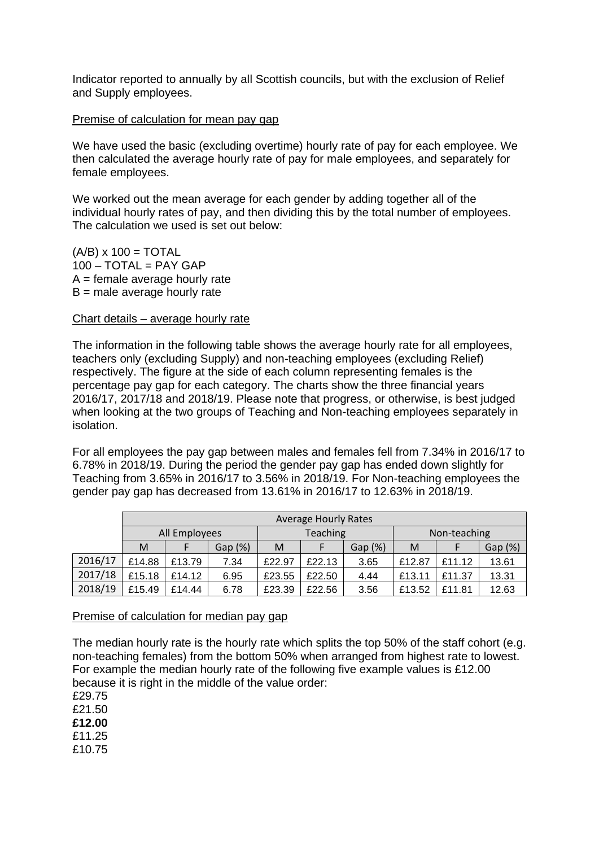Indicator reported to annually by all Scottish councils, but with the exclusion of Relief and Supply employees.

#### Premise of calculation for mean pay gap

We have used the basic (excluding overtime) hourly rate of pay for each employee. We then calculated the average hourly rate of pay for male employees, and separately for female employees.

We worked out the mean average for each gender by adding together all of the individual hourly rates of pay, and then dividing this by the total number of employees. The calculation we used is set out below:

 $(A/B)$  x 100 = TOTAL  $100 - TOTAL = PAY GAP$  $A =$  female average hourly rate  $B$  = male average hourly rate

#### Chart details – average hourly rate

The information in the following table shows the average hourly rate for all employees, teachers only (excluding Supply) and non-teaching employees (excluding Relief) respectively. The figure at the side of each column representing females is the percentage pay gap for each category. The charts show the three financial years 2016/17, 2017/18 and 2018/19. Please note that progress, or otherwise, is best judged when looking at the two groups of Teaching and Non-teaching employees separately in isolation.

For all employees the pay gap between males and females fell from 7.34% in 2016/17 to 6.78% in 2018/19. During the period the gender pay gap has ended down slightly for Teaching from 3.65% in 2016/17 to 3.56% in 2018/19. For Non-teaching employees the gender pay gap has decreased from 13.61% in 2016/17 to 12.63% in 2018/19.

|         | <b>Average Hourly Rates</b> |        |         |                 |        |         |              |        |         |  |
|---------|-----------------------------|--------|---------|-----------------|--------|---------|--------------|--------|---------|--|
|         | All Employees               |        |         | <b>Teaching</b> |        |         | Non-teaching |        |         |  |
|         | M                           |        | Gap (%) | M               |        | Gap (%) | M            |        | Gap (%) |  |
| 2016/17 | £14.88                      | £13.79 | 7.34    | £22.97          | £22.13 | 3.65    | £12.87       | £11.12 | 13.61   |  |
| 2017/18 | £15.18                      | £14.12 | 6.95    | £23.55          | £22.50 | 4.44    | £13.11       | £11.37 | 13.31   |  |
| 2018/19 | £15.49                      | £14.44 | 6.78    | £23.39          | £22.56 | 3.56    | £13.52       | £11.81 | 12.63   |  |

Premise of calculation for median pay gap

The median hourly rate is the hourly rate which splits the top 50% of the staff cohort (e.g. non-teaching females) from the bottom 50% when arranged from highest rate to lowest. For example the median hourly rate of the following five example values is £12.00 because it is right in the middle of the value order:

£29.75 £21.50 **£12.00**  £11.25 £10.75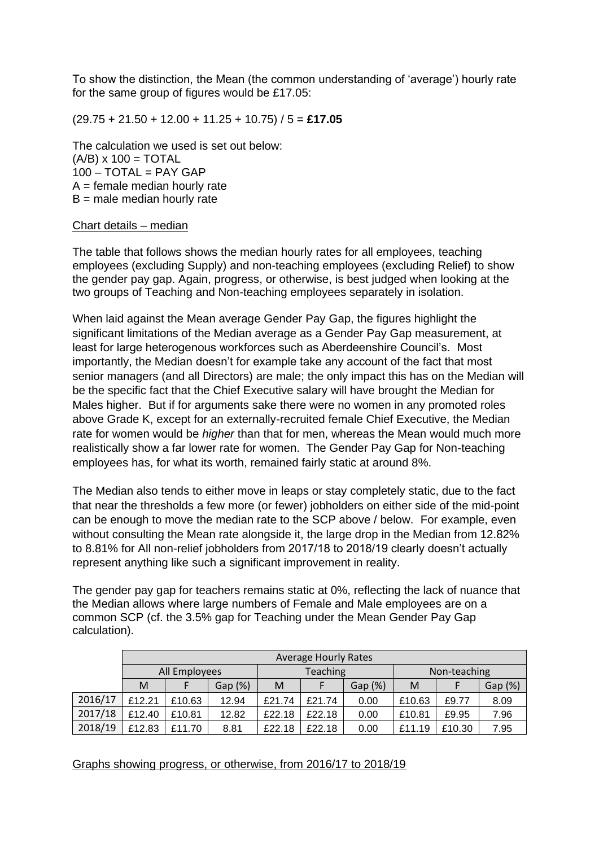To show the distinction, the Mean (the common understanding of 'average') hourly rate for the same group of figures would be £17.05:

(29.75 + 21.50 + 12.00 + 11.25 + 10.75) / 5 = **£17.05** 

The calculation we used is set out below:  $(A/B)$  x 100 = TOTAL  $100 - TOTAL = PAY GAP$  $A =$  female median hourly rate  $B$  = male median hourly rate

#### Chart details – median

The table that follows shows the median hourly rates for all employees, teaching employees (excluding Supply) and non-teaching employees (excluding Relief) to show the gender pay gap. Again, progress, or otherwise, is best judged when looking at the two groups of Teaching and Non-teaching employees separately in isolation.

When laid against the Mean average Gender Pay Gap, the figures highlight the significant limitations of the Median average as a Gender Pay Gap measurement, at least for large heterogenous workforces such as Aberdeenshire Council's. Most importantly, the Median doesn't for example take any account of the fact that most senior managers (and all Directors) are male; the only impact this has on the Median will be the specific fact that the Chief Executive salary will have brought the Median for Males higher. But if for arguments sake there were no women in any promoted roles above Grade K, except for an externally-recruited female Chief Executive, the Median rate for women would be *higher* than that for men, whereas the Mean would much more realistically show a far lower rate for women. The Gender Pay Gap for Non-teaching employees has, for what its worth, remained fairly static at around 8%.

The Median also tends to either move in leaps or stay completely static, due to the fact that near the thresholds a few more (or fewer) jobholders on either side of the mid-point can be enough to move the median rate to the SCP above / below. For example, even without consulting the Mean rate alongside it, the large drop in the Median from 12.82% to 8.81% for All non-relief jobholders from 2017/18 to 2018/19 clearly doesn't actually represent anything like such a significant improvement in reality.

The gender pay gap for teachers remains static at 0%, reflecting the lack of nuance that the Median allows where large numbers of Female and Male employees are on a common SCP (cf. the 3.5% gap for Teaching under the Mean Gender Pay Gap calculation).

|         | <b>Average Hourly Rates</b> |        |         |                 |        |         |              |        |         |  |
|---------|-----------------------------|--------|---------|-----------------|--------|---------|--------------|--------|---------|--|
|         | All Employees               |        |         | <b>Teaching</b> |        |         | Non-teaching |        |         |  |
|         | M                           |        | Gap (%) | M               |        | Gap (%) | M            |        | Gap (%) |  |
| 2016/17 | £12.21                      | £10.63 | 12.94   | £21.74          | £21.74 | 0.00    | £10.63       | £9.77  | 8.09    |  |
| 2017/18 | £12.40                      | £10.81 | 12.82   | £22.18          | £22.18 | 0.00    | £10.81       | £9.95  | 7.96    |  |
| 2018/19 | £12.83                      | £11.70 | 8.81    | £22.18          | £22.18 | 0.00    | £11.19       | £10.30 | 7.95    |  |

Graphs showing progress, or otherwise, from 2016/17 to 2018/19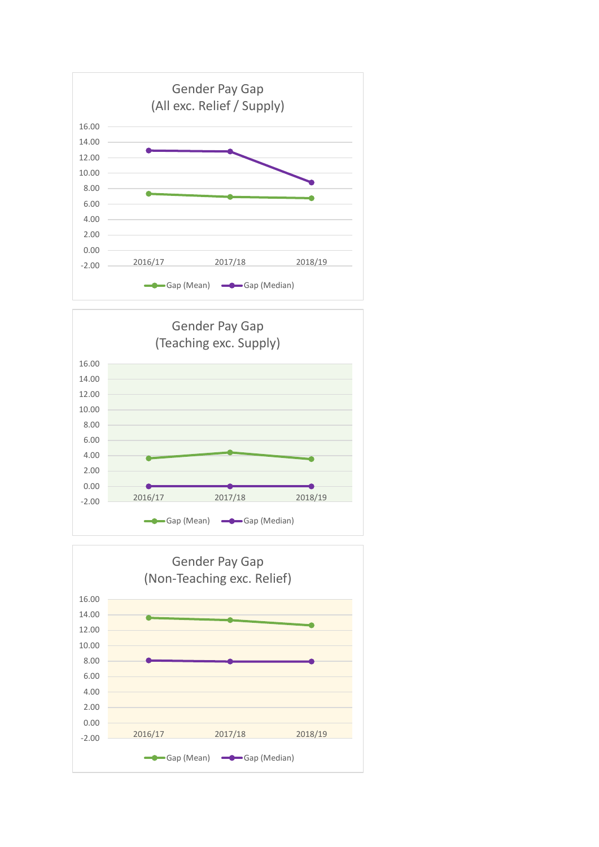